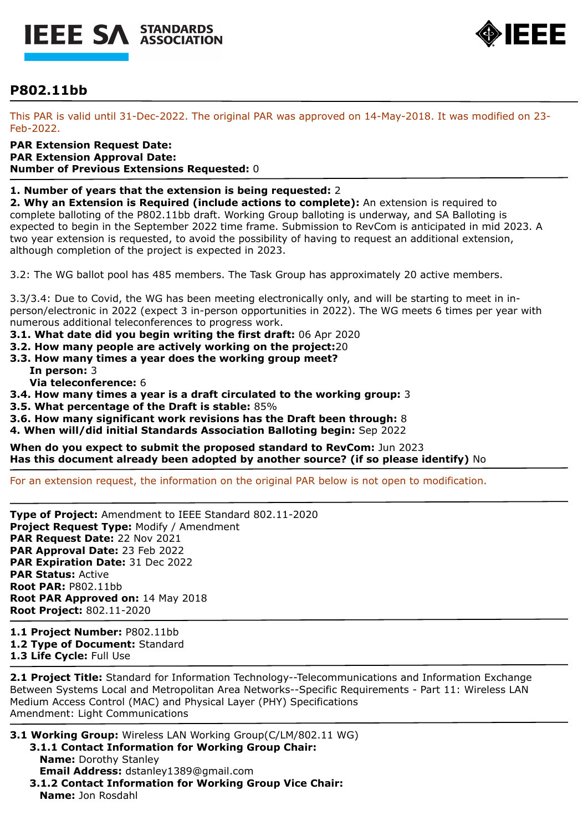



# **P802.11bb**

This PAR is valid until 31-Dec-2022. The original PAR was approved on 14-May-2018. It was modified on 23- Feb-2022.

**PAR Extension Request Date: PAR Extension Approval Date: Number of Previous Extensions Requested:** 0

#### **1. Number of years that the extension is being requested:** 2

**2. Why an Extension is Required (include actions to complete):** An extension is required to complete balloting of the P802.11bb draft. Working Group balloting is underway, and SA Balloting is expected to begin in the September 2022 time frame. Submission to RevCom is anticipated in mid 2023. A two year extension is requested, to avoid the possibility of having to request an additional extension, although completion of the project is expected in 2023.

3.2: The WG ballot pool has 485 members. The Task Group has approximately 20 active members.

3.3/3.4: Due to Covid, the WG has been meeting electronically only, and will be starting to meet in inperson/electronic in 2022 (expect 3 in-person opportunities in 2022). The WG meets 6 times per year with numerous additional teleconferences to progress work.

- **3.1. What date did you begin writing the first draft:** 06 Apr 2020
- **3.2. How many people are actively working on the project:**20
- **3.3. How many times a year does the working group meet? In person:** 3
	- **Via teleconference:** 6
- **3.4. How many times a year is a draft circulated to the working group:** 3
- **3.5. What percentage of the Draft is stable:** 85%
- **3.6. How many significant work revisions has the Draft been through:** 8
- **4. When will/did initial Standards Association Balloting begin:** Sep 2022

**When do you expect to submit the proposed standard to RevCom:** Jun 2023 **Has this document already been adopted by another source? (if so please identify)** No

For an extension request, the information on the original PAR below is not open to modification.

**Type of Project:** Amendment to IEEE Standard 802.11-2020 **Project Request Type:** Modify / Amendment **PAR Request Date:** 22 Nov 2021 **PAR Approval Date:** 23 Feb 2022 **PAR Expiration Date:** 31 Dec 2022 **PAR Status:** Active **Root PAR:** P802.11bb **Root PAR Approved on:** 14 May 2018 **Root Project:** 802.11-2020

**1.1 Project Number:** P802.11bb **1.2 Type of Document:** Standard **1.3 Life Cycle:** Full Use

**2.1 Project Title:** Standard for Information Technology--Telecommunications and Information Exchange Between Systems Local and Metropolitan Area Networks--Specific Requirements - Part 11: Wireless LAN Medium Access Control (MAC) and Physical Layer (PHY) Specifications Amendment: Light Communications

- **3.1 Working Group:** Wireless LAN Working Group(C/LM/802.11 WG) **3.1.1 Contact Information for Working Group Chair:** 
	- **Name:** Dorothy Stanley **Email Address:** dstanley1389@gmail.com **3.1.2 Contact Information for Working Group Vice Chair:**
	- **Name:** Jon Rosdahl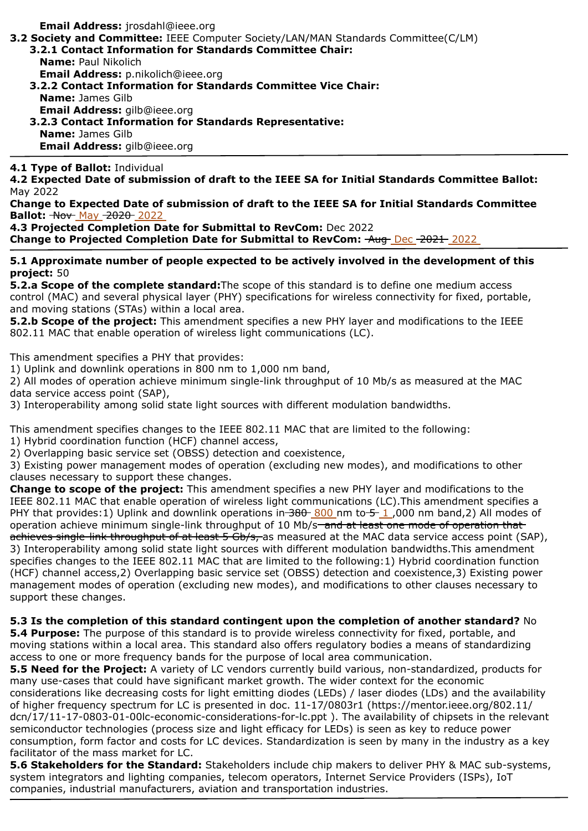**Email Address:** jrosdahl@ieee.org

**3.2 Society and Committee:** IEEE Computer Society/LAN/MAN Standards Committee(C/LM)

- **3.2.1 Contact Information for Standards Committee Chair: Name:** Paul Nikolich **Email Address:** p.nikolich@ieee.org
	- **3.2.2 Contact Information for Standards Committee Vice Chair:**
	- **Name:** James Gilb **Email Address:** gilb@ieee.org **3.2.3 Contact Information for Standards Representative:**
- **Name:** James Gilb **Email Address:** gilb@ieee.org

### **4.1 Type of Ballot:** Individual

**4.2 Expected Date of submission of draft to the IEEE SA for Initial Standards Committee Ballot:**  May 2022

**Change to Expected Date of submission of draft to the IEEE SA for Initial Standards Committee Ballot:**  $\rightarrow$  **May -2020** 2022

**4.3 Projected Completion Date for Submittal to RevCom:** Dec 2022 **Change to Projected Completion Date for Submittal to RevCom:**  $\frac{\text{Aug}}{\text{Aug}}\text{Dec }2021\text{-}2022$ 

#### **5.1 Approximate number of people expected to be actively involved in the development of this project:** 50

**5.2.a Scope of the complete standard:**The scope of this standard is to define one medium access control (MAC) and several physical layer (PHY) specifications for wireless connectivity for fixed, portable, and moving stations (STAs) within a local area.

**5.2.b Scope of the project:** This amendment specifies a new PHY layer and modifications to the IEEE 802.11 MAC that enable operation of wireless light communications (LC).

This amendment specifies a PHY that provides:

1) Uplink and downlink operations in 800 nm to 1,000 nm band,

2) All modes of operation achieve minimum single-link throughput of 10 Mb/s as measured at the MAC data service access point (SAP),

3) Interoperability among solid state light sources with different modulation bandwidths.

This amendment specifies changes to the IEEE 802.11 MAC that are limited to the following:

1) Hybrid coordination function (HCF) channel access,

2) Overlapping basic service set (OBSS) detection and coexistence,

3) Existing power management modes of operation (excluding new modes), and modifications to other clauses necessary to support these changes.

**Change to scope of the project:** This amendment specifies a new PHY layer and modifications to the IEEE 802.11 MAC that enable operation of wireless light communications (LC).This amendment specifies a PHY that provides: 1) Uplink and downlink operations in  $\frac{380}{800}$  nm to  $\frac{5}{1}$ ,000 nm band, 2) All modes of operation achieve minimum single-link throughput of 10 Mb/s<del> and at least one mode of operation that</del> achieves single-link throughput of at least 5 Gb/s, as measured at the MAC data service access point (SAP), 3) Interoperability among solid state light sources with different modulation bandwidths.This amendment specifies changes to the IEEE 802.11 MAC that are limited to the following:1) Hybrid coordination function (HCF) channel access,2) Overlapping basic service set (OBSS) detection and coexistence,3) Existing power management modes of operation (excluding new modes), and modifications to other clauses necessary to support these changes.

## **5.3 Is the completion of this standard contingent upon the completion of another standard?** No

**5.4 Purpose:** The purpose of this standard is to provide wireless connectivity for fixed, portable, and moving stations within a local area. This standard also offers regulatory bodies a means of standardizing access to one or more frequency bands for the purpose of local area communication.

**5.5 Need for the Project:** A variety of LC vendors currently build various, non-standardized, products for many use-cases that could have significant market growth. The wider context for the economic considerations like decreasing costs for light emitting diodes (LEDs) / laser diodes (LDs) and the availability of higher frequency spectrum for LC is presented in doc. 11-17/0803r1 (https://mentor.ieee.org/802.11/ dcn/17/11-17-0803-01-00lc-economic-considerations-for-lc.ppt ). The availability of chipsets in the relevant semiconductor technologies (process size and light efficacy for LEDs) is seen as key to reduce power consumption, form factor and costs for LC devices. Standardization is seen by many in the industry as a key facilitator of the mass market for LC.

**5.6 Stakeholders for the Standard:** Stakeholders include chip makers to deliver PHY & MAC sub-systems, system integrators and lighting companies, telecom operators, Internet Service Providers (ISPs), IoT companies, industrial manufacturers, aviation and transportation industries.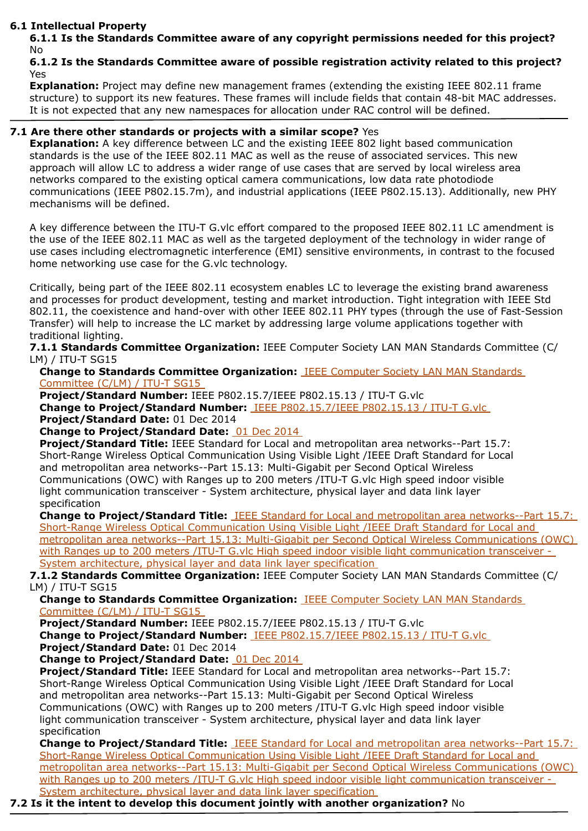### **6.1 Intellectual Property**

**6.1.1 Is the Standards Committee aware of any copyright permissions needed for this project?**  No

## **6.1.2 Is the Standards Committee aware of possible registration activity related to this project?**  Yes

**Explanation:** Project may define new management frames (extending the existing IEEE 802.11 frame structure) to support its new features. These frames will include fields that contain 48-bit MAC addresses. It is not expected that any new namespaces for allocation under RAC control will be defined.

# **7.1 Are there other standards or projects with a similar scope?** Yes

**Explanation:** A key difference between LC and the existing IEEE 802 light based communication standards is the use of the IEEE 802.11 MAC as well as the reuse of associated services. This new approach will allow LC to address a wider range of use cases that are served by local wireless area networks compared to the existing optical camera communications, low data rate photodiode communications (IEEE P802.15.7m), and industrial applications (IEEE P802.15.13). Additionally, new PHY mechanisms will be defined.

A key difference between the ITU-T G.vlc effort compared to the proposed IEEE 802.11 LC amendment is the use of the IEEE 802.11 MAC as well as the targeted deployment of the technology in wider range of use cases including electromagnetic interference (EMI) sensitive environments, in contrast to the focused home networking use case for the G.vlc technology.

Critically, being part of the IEEE 802.11 ecosystem enables LC to leverage the existing brand awareness and processes for product development, testing and market introduction. Tight integration with IEEE Std 802.11, the coexistence and hand-over with other IEEE 802.11 PHY types (through the use of Fast-Session Transfer) will help to increase the LC market by addressing large volume applications together with traditional lighting.

**7.1.1 Standards Committee Organization:** IEEE Computer Society LAN MAN Standards Committee (C/ LM) / ITU-T SG15

**Change to Standards Committee Organization:** IEEE Computer Society LAN MAN Standards Committee (C/LM) / ITU-T SG15

**Project/Standard Number:** IEEE P802.15.7/IEEE P802.15.13 / ITU-T G.vlc

**Change to Project/Standard Number:** IEEE P802.15.7/IEEE P802.15.13 / ITU-T G.vlc **Project/Standard Date:** 01 Dec 2014

**Change to Project/Standard Date:** 01 Dec 2014

**Project/Standard Title:** IEEE Standard for Local and metropolitan area networks--Part 15.7: Short-Range Wireless Optical Communication Using Visible Light /IEEE Draft Standard for Local and metropolitan area networks--Part 15.13: Multi-Gigabit per Second Optical Wireless Communications (OWC) with Ranges up to 200 meters /ITU-T G.vlc High speed indoor visible light communication transceiver - System architecture, physical layer and data link layer specification

**Change to Project/Standard Title:** IEEE Standard for Local and metropolitan area networks--Part 15.7: Short-Range Wireless Optical Communication Using Visible Light /IEEE Draft Standard for Local and metropolitan area networks--Part 15.13: Multi-Gigabit per Second Optical Wireless Communications (OWC) with Ranges up to 200 meters /ITU-T G.vlc High speed indoor visible light communication transceiver -System architecture, physical layer and data link layer specification

**7.1.2 Standards Committee Organization:** IEEE Computer Society LAN MAN Standards Committee (C/ LM) / ITU-T SG15

**Change to Standards Committee Organization:** IEEE Computer Society LAN MAN Standards Committee (C/LM) / ITU-T SG15

**Project/Standard Number:** IEEE P802.15.7/IEEE P802.15.13 / ITU-T G.vlc

**Change to Project/Standard Number:** IEEE P802.15.7/IEEE P802.15.13 / ITU-T G.vlc **Project/Standard Date:** 01 Dec 2014

**Change to Project/Standard Date:** 01 Dec 2014

**Project/Standard Title:** IEEE Standard for Local and metropolitan area networks--Part 15.7: Short-Range Wireless Optical Communication Using Visible Light /IEEE Draft Standard for Local and metropolitan area networks--Part 15.13: Multi-Gigabit per Second Optical Wireless Communications (OWC) with Ranges up to 200 meters /ITU-T G.vlc High speed indoor visible light communication transceiver - System architecture, physical layer and data link layer specification

**Change to Project/Standard Title:** IEEE Standard for Local and metropolitan area networks--Part 15.7: Short-Range Wireless Optical Communication Using Visible Light /IEEE Draft Standard for Local and metropolitan area networks--Part 15.13: Multi-Gigabit per Second Optical Wireless Communications (OWC) with Ranges up to 200 meters /ITU-T G.vlc High speed indoor visible light communication transceiver -System architecture, physical layer and data link layer specification

**7.2 Is it the intent to develop this document jointly with another organization?** No